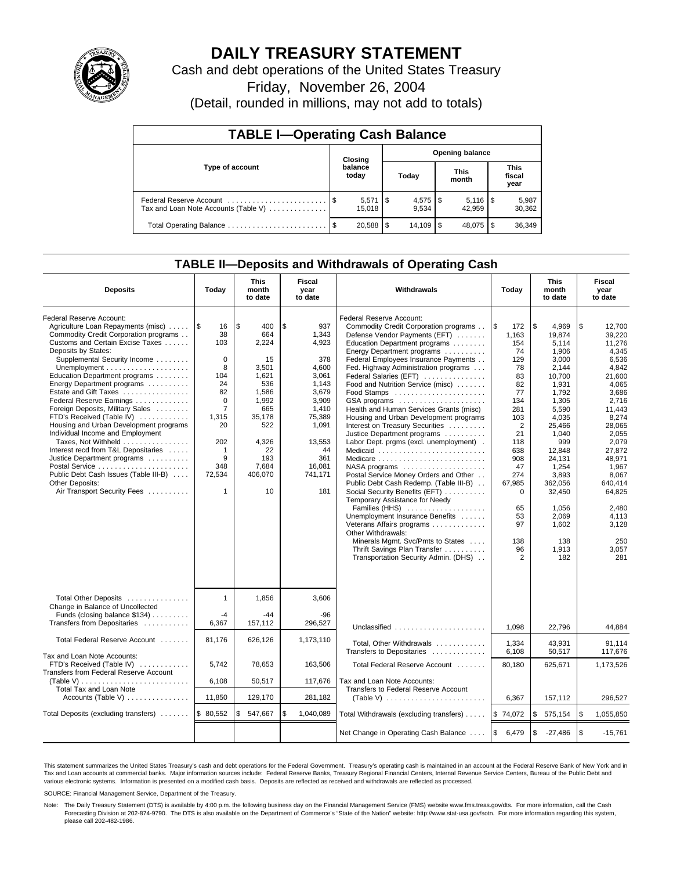

# **DAILY TREASURY STATEMENT**

Cash and debt operations of the United States Treasury

Friday, November 26, 2004

(Detail, rounded in millions, may not add to totals)

| <b>TABLE I-Operating Cash Balance</b>                           |  |                                   |    |       |  |                      |  |                               |  |
|-----------------------------------------------------------------|--|-----------------------------------|----|-------|--|----------------------|--|-------------------------------|--|
| Type of account                                                 |  | <b>Opening balance</b><br>Closing |    |       |  |                      |  |                               |  |
|                                                                 |  | balance<br>today                  |    | Today |  | <b>This</b><br>month |  | <b>This</b><br>fiscal<br>year |  |
| Federal Reserve Account<br>Tax and Loan Note Accounts (Table V) |  | $5,571$ $\sqrt{5}$<br>15.018      |    | 9.534 |  | 42.959               |  | 5,987<br>30,362               |  |
| Total Operating Balance                                         |  | 20.588                            | \$ |       |  | 48.075 \\$           |  | 36,349                        |  |

### **TABLE II—Deposits and Withdrawals of Operating Cash**

| <b>Deposits</b>                                                                                                                                                                                                                                                                                                                                                                                                                                                                                                                                                                                                                                               | Today                                                                                                                                                                      | <b>This</b><br>month<br>to date                                                                                                                     | Fiscal<br>year<br>to date                                                                                                                                      | Withdrawals                                                                                                                                                                                                                                                                                                                                                                                                                                                                                                                                                                                                                                                                                                                                                                                                                                                                                                                | Today                                                                                                                                                                                                        | <b>This</b><br>month<br>to date                                                                                                                                                                                                                         | Fiscal<br>year<br>to date                                                                                                                                                                                                                                    |
|---------------------------------------------------------------------------------------------------------------------------------------------------------------------------------------------------------------------------------------------------------------------------------------------------------------------------------------------------------------------------------------------------------------------------------------------------------------------------------------------------------------------------------------------------------------------------------------------------------------------------------------------------------------|----------------------------------------------------------------------------------------------------------------------------------------------------------------------------|-----------------------------------------------------------------------------------------------------------------------------------------------------|----------------------------------------------------------------------------------------------------------------------------------------------------------------|----------------------------------------------------------------------------------------------------------------------------------------------------------------------------------------------------------------------------------------------------------------------------------------------------------------------------------------------------------------------------------------------------------------------------------------------------------------------------------------------------------------------------------------------------------------------------------------------------------------------------------------------------------------------------------------------------------------------------------------------------------------------------------------------------------------------------------------------------------------------------------------------------------------------------|--------------------------------------------------------------------------------------------------------------------------------------------------------------------------------------------------------------|---------------------------------------------------------------------------------------------------------------------------------------------------------------------------------------------------------------------------------------------------------|--------------------------------------------------------------------------------------------------------------------------------------------------------------------------------------------------------------------------------------------------------------|
| Federal Reserve Account:<br>Agriculture Loan Repayments (misc)<br>Commodity Credit Corporation programs<br>Customs and Certain Excise Taxes<br>Deposits by States:<br>Supplemental Security Income<br>Education Department programs<br>Energy Department programs<br>Estate and Gift Taxes<br>Federal Reserve Earnings<br>Foreign Deposits, Military Sales<br>FTD's Received (Table IV)<br>Housing and Urban Development programs<br>Individual Income and Employment<br>Taxes, Not Withheld<br>Interest recd from T&L Depositaries<br>Justice Department programs<br>Public Debt Cash Issues (Table III-B)<br>Other Deposits:<br>Air Transport Security Fees | 1\$<br>16<br>38<br>103<br>$\mathbf 0$<br>8<br>104<br>24<br>82<br>$\mathbf 0$<br>$\overline{7}$<br>1,315<br>20<br>202<br>$\mathbf{1}$<br>9<br>348<br>72,534<br>$\mathbf{1}$ | \$.<br>400<br>664<br>2.224<br>15<br>3.501<br>1,621<br>536<br>1,586<br>1,992<br>665<br>35,178<br>522<br>4,326<br>22<br>193<br>7,684<br>406,070<br>10 | \$<br>937<br>1,343<br>4,923<br>378<br>4.600<br>3,061<br>1,143<br>3,679<br>3,909<br>1,410<br>75,389<br>1,091<br>13,553<br>44<br>361<br>16,081<br>741,171<br>181 | Federal Reserve Account:<br>Commodity Credit Corporation programs<br>Defense Vendor Payments (EFT)<br>Education Department programs<br>Energy Department programs<br>Federal Employees Insurance Payments<br>Fed. Highway Administration programs<br>Federal Salaries (EFT)<br>Food and Nutrition Service (misc)<br>GSA programs<br>Health and Human Services Grants (misc)<br>Housing and Urban Development programs<br>Interest on Treasury Securities<br>Justice Department programs<br>Labor Dept. prgms (excl. unemployment).<br>Medicaid<br>Postal Service Money Orders and Other<br>Public Debt Cash Redemp. (Table III-B)<br>Social Security Benefits (EFT)<br>Temporary Assistance for Needy<br>Families (HHS)<br>Unemployment Insurance Benefits<br>Veterans Affairs programs<br>Other Withdrawals:<br>Minerals Mgmt. Svc/Pmts to States<br>Thrift Savings Plan Transfer<br>Transportation Security Admin. (DHS) | l \$<br>172<br>1.163<br>154<br>74<br>129<br>78<br>83<br>82<br>77<br>134<br>281<br>103<br>$\overline{2}$<br>21<br>118<br>638<br>908<br>47<br>274<br>67,985<br>$\mathbf 0$<br>65<br>53<br>97<br>138<br>96<br>2 | \$<br>4.969<br>19.874<br>5,114<br>1,906<br>3.000<br>2.144<br>10,700<br>1,931<br>1,792<br>1,305<br>5,590<br>4.035<br>25,466<br>1,040<br>999<br>12,848<br>24,131<br>1,254<br>3,893<br>362.056<br>32,450<br>1,056<br>2,069<br>1.602<br>138<br>1,913<br>182 | \$<br>12.700<br>39.220<br>11,276<br>4,345<br>6.536<br>4.842<br>21,600<br>4,065<br>3,686<br>2.716<br>11.443<br>8,274<br>28,065<br>2,055<br>2.079<br>27.872<br>48,971<br>1,967<br>8.067<br>640.414<br>64,825<br>2,480<br>4,113<br>3.128<br>250<br>3,057<br>281 |
| Total Other Deposits<br>Change in Balance of Uncollected<br>Funds (closing balance \$134)<br>Transfers from Depositaries                                                                                                                                                                                                                                                                                                                                                                                                                                                                                                                                      | $\mathbf{1}$<br>$-4$<br>6,367                                                                                                                                              | 1,856<br>$-44$<br>157,112                                                                                                                           | 3,606<br>-96<br>296,527                                                                                                                                        |                                                                                                                                                                                                                                                                                                                                                                                                                                                                                                                                                                                                                                                                                                                                                                                                                                                                                                                            | 1,098                                                                                                                                                                                                        | 22,796                                                                                                                                                                                                                                                  | 44,884                                                                                                                                                                                                                                                       |
| Total Federal Reserve Account                                                                                                                                                                                                                                                                                                                                                                                                                                                                                                                                                                                                                                 | 81,176                                                                                                                                                                     | 626,126                                                                                                                                             | 1,173,110                                                                                                                                                      | Total, Other Withdrawals<br>Transfers to Depositaries                                                                                                                                                                                                                                                                                                                                                                                                                                                                                                                                                                                                                                                                                                                                                                                                                                                                      | 1,334<br>6,108                                                                                                                                                                                               | 43,931<br>50,517                                                                                                                                                                                                                                        | 91.114<br>117,676                                                                                                                                                                                                                                            |
| Tax and Loan Note Accounts:<br>FTD's Received (Table IV)<br>Transfers from Federal Reserve Account<br>(Table V)<br><b>Total Tax and Loan Note</b>                                                                                                                                                                                                                                                                                                                                                                                                                                                                                                             | 5,742<br>6,108                                                                                                                                                             | 78,653<br>50,517                                                                                                                                    | 163,506<br>117,676                                                                                                                                             | Total Federal Reserve Account<br>Tax and Loan Note Accounts:<br>Transfers to Federal Reserve Account                                                                                                                                                                                                                                                                                                                                                                                                                                                                                                                                                                                                                                                                                                                                                                                                                       | 80.180                                                                                                                                                                                                       | 625,671                                                                                                                                                                                                                                                 | 1,173,526                                                                                                                                                                                                                                                    |
| Accounts (Table V)                                                                                                                                                                                                                                                                                                                                                                                                                                                                                                                                                                                                                                            | 11,850                                                                                                                                                                     | 129,170                                                                                                                                             | 281,182                                                                                                                                                        |                                                                                                                                                                                                                                                                                                                                                                                                                                                                                                                                                                                                                                                                                                                                                                                                                                                                                                                            | 6,367                                                                                                                                                                                                        | 157,112                                                                                                                                                                                                                                                 | 296.527                                                                                                                                                                                                                                                      |
| Total Deposits (excluding transfers)                                                                                                                                                                                                                                                                                                                                                                                                                                                                                                                                                                                                                          | \$80,552                                                                                                                                                                   | 547,667<br>S                                                                                                                                        | \$<br>1,040,089                                                                                                                                                | Total Withdrawals (excluding transfers)                                                                                                                                                                                                                                                                                                                                                                                                                                                                                                                                                                                                                                                                                                                                                                                                                                                                                    | \$74,072                                                                                                                                                                                                     | \$<br>575,154                                                                                                                                                                                                                                           | \$<br>1,055,850                                                                                                                                                                                                                                              |
|                                                                                                                                                                                                                                                                                                                                                                                                                                                                                                                                                                                                                                                               |                                                                                                                                                                            |                                                                                                                                                     |                                                                                                                                                                | Net Change in Operating Cash Balance                                                                                                                                                                                                                                                                                                                                                                                                                                                                                                                                                                                                                                                                                                                                                                                                                                                                                       | \$<br>6,479                                                                                                                                                                                                  | \$<br>$-27,486$                                                                                                                                                                                                                                         | l \$<br>$-15,761$                                                                                                                                                                                                                                            |

This statement summarizes the United States Treasury's cash and debt operations for the Federal Government. Treasury's operating cash is maintained in an account at the Federal Reserve Bank of New York and in Tax and Loan accounts at commercial banks. Major information sources include: Federal Reserve Banks, Treasury Regional Financial Centers, Internal Revenue Service Centers, Bureau of the Public Debt and<br>various electronic s

SOURCE: Financial Management Service, Department of the Treasury.

Note: The Daily Treasury Statement (DTS) is available by 4:00 p.m. the following business day on the Financial Management Service (FMS) website www.fms.treas.gov/dts. For more information, call the Cash Forecasting Division at 202-874-9790. The DTS is also available on the Department of Commerce's "State of the Nation" website: http://www.stat-usa.gov/sotn. For more information regarding this system, please call 202-482-1986.